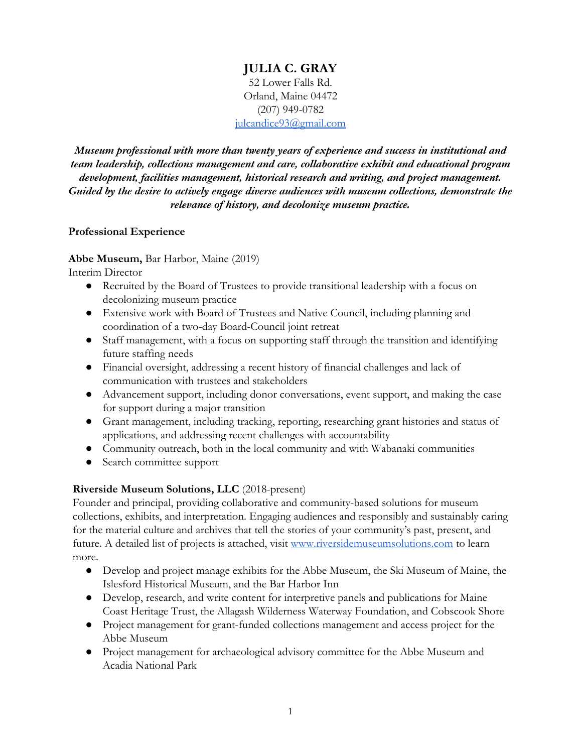# **JULIA C. GRAY** 52 Lower Falls Rd. Orland, Maine 04472 (207) 949-0782 iulcandice93@gmail.com

*Museum professional with more than twenty years of experience and success in institutional and team leadership, collections management and care, collaborative exhibit and educational program development, facilities management, historical research and writing, and project management. Guided by the desire to actively engage diverse audiences with museum collections, demonstrate the relevance of history, and decolonize museum practice.*

#### **Professional Experience**

### **Abbe Museum,** Bar Harbor, Maine (2019)

Interim Director

- Recruited by the Board of Trustees to provide transitional leadership with a focus on decolonizing museum practice
- Extensive work with Board of Trustees and Native Council, including planning and coordination of a two-day Board-Council joint retreat
- Staff management, with a focus on supporting staff through the transition and identifying future staffing needs
- Financial oversight, addressing a recent history of financial challenges and lack of communication with trustees and stakeholders
- Advancement support, including donor conversations, event support, and making the case for support during a major transition
- Grant management, including tracking, reporting, researching grant histories and status of applications, and addressing recent challenges with accountability
- Community outreach, both in the local community and with Wabanaki communities
- Search committee support

### **Riverside Museum Solutions, LLC** (2018-present)

Founder and principal, providing collaborative and community-based solutions for museum collections, exhibits, and interpretation. Engaging audiences and responsibly and sustainably caring for the material culture and archives that tell the stories of your community's past, present, and future. A detailed list of projects is attached, visit [www.riversidemuseumsolutions.com](http://www.riversidemuseumsolutions.com/) to learn more.

- Develop and project manage exhibits for the Abbe Museum, the Ski Museum of Maine, the Islesford Historical Museum, and the Bar Harbor Inn
- Develop, research, and write content for interpretive panels and publications for Maine Coast Heritage Trust, the Allagash Wilderness Waterway Foundation, and Cobscook Shore
- Project management for grant-funded collections management and access project for the Abbe Museum
- Project management for archaeological advisory committee for the Abbe Museum and Acadia National Park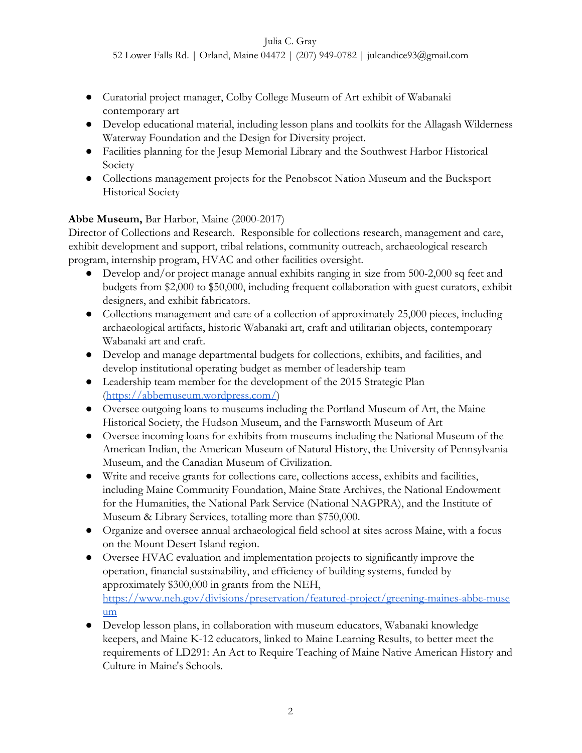52 Lower Falls Rd. | Orland, Maine 04472 | (207) 949-0782 | julcandice93@gmail.com

- Curatorial project manager, Colby College Museum of Art exhibit of Wabanaki contemporary art
- Develop educational material, including lesson plans and toolkits for the Allagash Wilderness Waterway Foundation and the Design for Diversity project.
- Facilities planning for the Jesup Memorial Library and the Southwest Harbor Historical Society
- Collections management projects for the Penobscot Nation Museum and the Bucksport Historical Society

# **Abbe Museum,** Bar Harbor, Maine (2000-2017)

Director of Collections and Research. Responsible for collections research, management and care, exhibit development and support, tribal relations, community outreach, archaeological research program, internship program, HVAC and other facilities oversight.

- Develop and/or project manage annual exhibits ranging in size from 500-2,000 sq feet and budgets from \$2,000 to \$50,000, including frequent collaboration with guest curators, exhibit designers, and exhibit fabricators.
- Collections management and care of a collection of approximately 25,000 pieces, including archaeological artifacts, historic Wabanaki art, craft and utilitarian objects, contemporary Wabanaki art and craft.
- Develop and manage departmental budgets for collections, exhibits, and facilities, and develop institutional operating budget as member of leadership team
- Leadership team member for the development of the 2015 Strategic Plan (<https://abbemuseum.wordpress.com/>)
- Oversee outgoing loans to museums including the Portland Museum of Art, the Maine Historical Society, the Hudson Museum, and the Farnsworth Museum of Art
- Oversee incoming loans for exhibits from museums including the National Museum of the American Indian, the American Museum of Natural History, the University of Pennsylvania Museum, and the Canadian Museum of Civilization.
- Write and receive grants for collections care, collections access, exhibits and facilities, including Maine Community Foundation, Maine State Archives, the National Endowment for the Humanities, the National Park Service (National NAGPRA), and the Institute of Museum & Library Services, totalling more than \$750,000.
- Organize and oversee annual archaeological field school at sites across Maine, with a focus on the Mount Desert Island region.
- Oversee HVAC evaluation and implementation projects to significantly improve the operation, financial sustainability, and efficiency of building systems, funded by approximately \$300,000 in grants from the NEH, [https://www.neh.gov/divisions/preservation/featured-project/greening-maines-abbe-muse](https://www.neh.gov/divisions/preservation/featured-project/greening-maines-abbe-museum) [um](https://www.neh.gov/divisions/preservation/featured-project/greening-maines-abbe-museum)
- Develop lesson plans, in collaboration with museum educators, Wabanaki knowledge keepers, and Maine K-12 educators, linked to Maine Learning Results, to better meet the requirements of LD291: An Act to Require Teaching of Maine Native American History and Culture in Maine's Schools.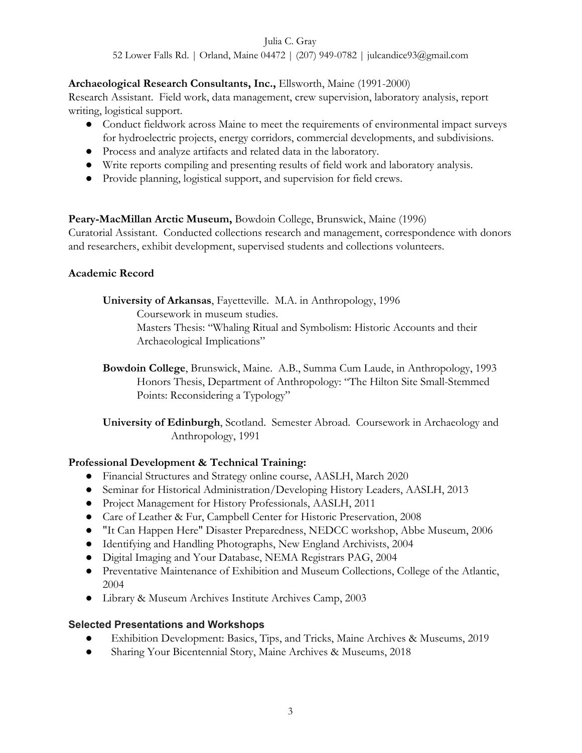52 Lower Falls Rd. | Orland, Maine 04472 | (207) 949-0782 | julcandice93@gmail.com

## **Archaeological Research Consultants, Inc.,** Ellsworth, Maine (1991-2000)

Research Assistant. Field work, data management, crew supervision, laboratory analysis, report writing, logistical support.

- Conduct fieldwork across Maine to meet the requirements of environmental impact surveys for hydroelectric projects, energy corridors, commercial developments, and subdivisions.
- Process and analyze artifacts and related data in the laboratory.
- Write reports compiling and presenting results of field work and laboratory analysis.
- Provide planning, logistical support, and supervision for field crews.

### **Peary-MacMillan Arctic Museum,** Bowdoin College, Brunswick, Maine (1996)

Curatorial Assistant. Conducted collections research and management, correspondence with donors and researchers, exhibit development, supervised students and collections volunteers.

### **Academic Record**

**University of Arkansas**, Fayetteville. M.A. in Anthropology, 1996

Coursework in museum studies.

Masters Thesis: "Whaling Ritual and Symbolism: Historic Accounts and their Archaeological Implications"

**Bowdoin College**, Brunswick, Maine. A.B., Summa Cum Laude, in Anthropology, 1993 Honors Thesis, Department of Anthropology: "The Hilton Site Small-Stemmed Points: Reconsidering a Typology"

**University of Edinburgh**, Scotland. Semester Abroad. Coursework in Archaeology and Anthropology, 1991

### **Professional Development & Technical Training:**

- Financial Structures and Strategy online course, AASLH, March 2020
- Seminar for Historical Administration/Developing History Leaders, AASLH, 2013
- Project Management for History Professionals, AASLH, 2011
- Care of Leather & Fur, Campbell Center for Historic Preservation, 2008
- "It Can Happen Here" Disaster Preparedness, NEDCC workshop, Abbe Museum, 2006
- Identifying and Handling Photographs, New England Archivists, 2004
- Digital Imaging and Your Database, NEMA Registrars PAG, 2004
- Preventative Maintenance of Exhibition and Museum Collections, College of the Atlantic, 2004
- Library & Museum Archives Institute Archives Camp, 2003

### **Selected Presentations and Workshops**

- Exhibition Development: Basics, Tips, and Tricks, Maine Archives & Museums, 2019
- Sharing Your Bicentennial Story, Maine Archives & Museums, 2018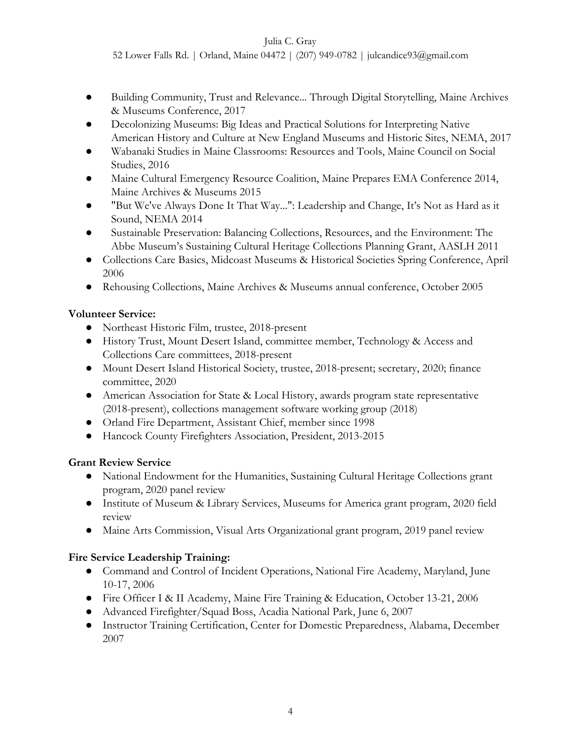52 Lower Falls Rd. | Orland, Maine 04472 | (207) 949-0782 | julcandice93@gmail.com

- Building Community, Trust and Relevance... Through Digital Storytelling, Maine Archives & Museums Conference, 2017
- Decolonizing Museums: Big Ideas and Practical Solutions for Interpreting Native American History and Culture at New England Museums and Historic Sites, NEMA, 2017
- Wabanaki Studies in Maine Classrooms: Resources and Tools, Maine Council on Social Studies, 2016
- Maine Cultural Emergency Resource Coalition, Maine Prepares EMA Conference 2014, Maine Archives & Museums 2015
- "But We've Always Done It That Way...": Leadership and Change, It's Not as Hard as it Sound, NEMA 2014
- Sustainable Preservation: Balancing Collections, Resources, and the Environment: The Abbe Museum's Sustaining Cultural Heritage Collections Planning Grant, AASLH 2011
- Collections Care Basics, Midcoast Museums & Historical Societies Spring Conference, April 2006
- Rehousing Collections, Maine Archives & Museums annual conference, October 2005

### **Volunteer Service:**

- Northeast Historic Film, trustee, 2018-present
- History Trust, Mount Desert Island, committee member, Technology & Access and Collections Care committees, 2018-present
- Mount Desert Island Historical Society, trustee, 2018-present; secretary, 2020; finance committee, 2020
- American Association for State & Local History, awards program state representative (2018-present), collections management software working group (2018)
- Orland Fire Department, Assistant Chief, member since 1998
- Hancock County Firefighters Association, President, 2013-2015

### **Grant Review Service**

- National Endowment for the Humanities, Sustaining Cultural Heritage Collections grant program, 2020 panel review
- Institute of Museum & Library Services, Museums for America grant program, 2020 field review
- Maine Arts Commission, Visual Arts Organizational grant program, 2019 panel review

### **Fire Service Leadership Training:**

- Command and Control of Incident Operations, National Fire Academy, Maryland, June 10-17, 2006
- Fire Officer I & II Academy, Maine Fire Training & Education, October 13-21, 2006
- Advanced Firefighter/Squad Boss, Acadia National Park, June 6, 2007
- Instructor Training Certification, Center for Domestic Preparedness, Alabama, December 2007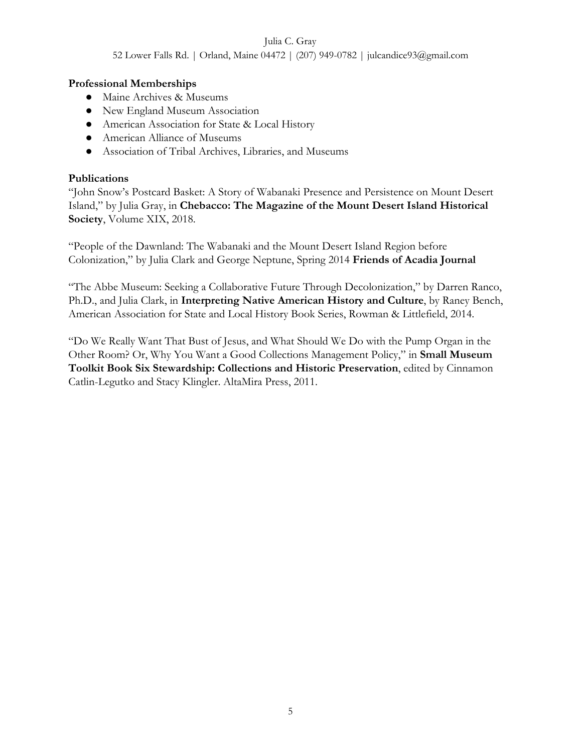52 Lower Falls Rd. | Orland, Maine 04472 | (207) 949-0782 | julcandice93@gmail.com

### **Professional Memberships**

- Maine Archives & Museums
- New England Museum Association
- American Association for State & Local History
- American Alliance of Museums
- Association of Tribal Archives, Libraries, and Museums

#### **Publications**

"John Snow's Postcard Basket: A Story of Wabanaki Presence and Persistence on Mount Desert Island," by Julia Gray, in **Chebacco: The Magazine of the Mount Desert Island Historical Society**, Volume XIX, 2018.

"People of the Dawnland: The Wabanaki and the Mount Desert Island Region before Colonization," by Julia Clark and George Neptune, Spring 2014 **Friends of Acadia Journal**

"The Abbe Museum: Seeking a Collaborative Future Through Decolonization," by Darren Ranco, Ph.D., and Julia Clark, in **Interpreting Native American History and Culture**, by Raney Bench, American Association for State and Local History Book Series, Rowman & Littlefield, 2014.

"Do We Really Want That Bust of Jesus, and What Should We Do with the Pump Organ in the Other Room? Or, Why You Want a Good Collections Management Policy," in **Small Museum Toolkit Book Six Stewardship: Collections and Historic Preservation**, edited by Cinnamon Catlin-Legutko and Stacy Klingler. AltaMira Press, 2011.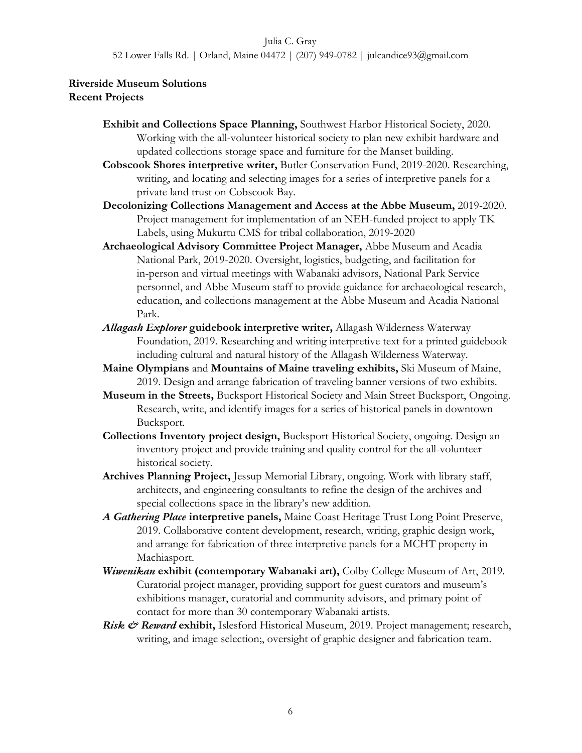52 Lower Falls Rd. | Orland, Maine 04472 | (207) 949-0782 | julcandice93@gmail.com

#### **Riverside Museum Solutions Recent Projects**

- **Exhibit and Collections Space Planning,** Southwest Harbor Historical Society, 2020. Working with the all-volunteer historical society to plan new exhibit hardware and updated collections storage space and furniture for the Manset building.
- **Cobscook Shores interpretive writer,** Butler Conservation Fund, 2019-2020. Researching, writing, and locating and selecting images for a series of interpretive panels for a private land trust on Cobscook Bay.
- **Decolonizing Collections Management and Access at the Abbe Museum,** 2019-2020. Project management for implementation of an NEH-funded project to apply TK Labels, using Mukurtu CMS for tribal collaboration, 2019-2020
- **Archaeological Advisory Committee Project Manager,** Abbe Museum and Acadia National Park, 2019-2020. Oversight, logistics, budgeting, and facilitation for in-person and virtual meetings with Wabanaki advisors, National Park Service personnel, and Abbe Museum staff to provide guidance for archaeological research, education, and collections management at the Abbe Museum and Acadia National Park.
- *Allagash Explorer* **guidebook interpretive writer,** Allagash Wilderness Waterway Foundation, 2019. Researching and writing interpretive text for a printed guidebook including cultural and natural history of the Allagash Wilderness Waterway.
- **Maine Olympians** and **Mountains of Maine traveling exhibits,** Ski Museum of Maine, 2019. Design and arrange fabrication of traveling banner versions of two exhibits.
- **Museum in the Streets,** Bucksport Historical Society and Main Street Bucksport, Ongoing. Research, write, and identify images for a series of historical panels in downtown Bucksport.
- **Collections Inventory project design,** Bucksport Historical Society, ongoing. Design an inventory project and provide training and quality control for the all-volunteer historical society.
- **Archives Planning Project,** Jessup Memorial Library, ongoing. Work with library staff, architects, and engineering consultants to refine the design of the archives and special collections space in the library's new addition.
- *A Gathering Place* **interpretive panels,** Maine Coast Heritage Trust Long Point Preserve, 2019. Collaborative content development, research, writing, graphic design work, and arrange for fabrication of three interpretive panels for a MCHT property in Machiasport.
- *Wiwenikan* **exhibit (contemporary Wabanaki art),** Colby College Museum of Art, 2019. Curatorial project manager, providing support for guest curators and museum's exhibitions manager, curatorial and community advisors, and primary point of contact for more than 30 contemporary Wabanaki artists.
- *Risk & Reward* **exhibit,** Islesford Historical Museum, 2019. Project management; research, writing, and image selection;, oversight of graphic designer and fabrication team.